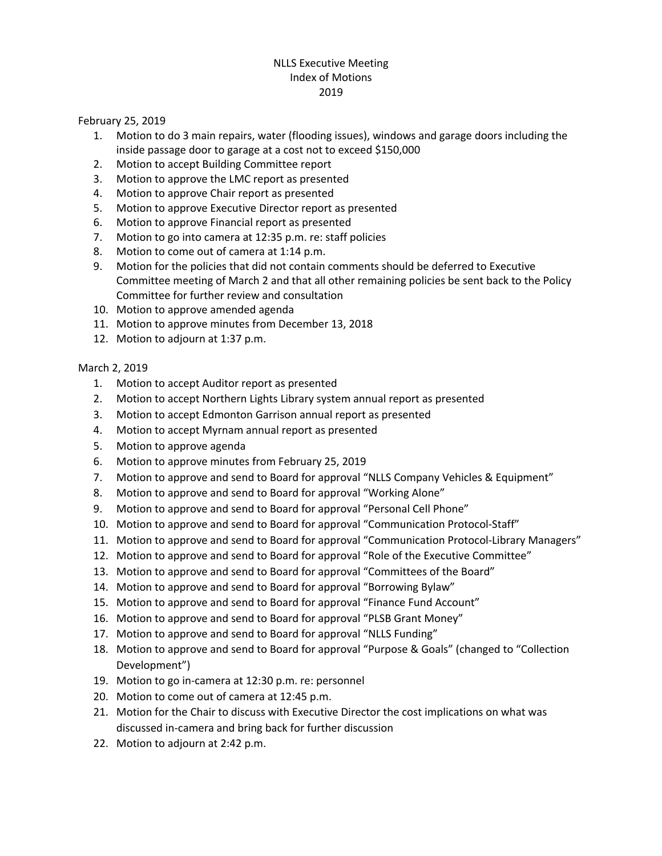# NLLS Executive Meeting Index of Motions 2019

February 25, 2019

- 1. Motion to do 3 main repairs, water (flooding issues), windows and garage doors including the inside passage door to garage at a cost not to exceed \$150,000
- 2. Motion to accept Building Committee report
- 3. Motion to approve the LMC report as presented
- 4. Motion to approve Chair report as presented
- 5. Motion to approve Executive Director report as presented
- 6. Motion to approve Financial report as presented
- 7. Motion to go into camera at 12:35 p.m. re: staff policies
- 8. Motion to come out of camera at 1:14 p.m.
- 9. Motion for the policies that did not contain comments should be deferred to Executive Committee meeting of March 2 and that all other remaining policies be sent back to the Policy Committee for further review and consultation
- 10. Motion to approve amended agenda
- 11. Motion to approve minutes from December 13, 2018
- 12. Motion to adjourn at 1:37 p.m.

### March 2, 2019

- 1. Motion to accept Auditor report as presented
- 2. Motion to accept Northern Lights Library system annual report as presented
- 3. Motion to accept Edmonton Garrison annual report as presented
- 4. Motion to accept Myrnam annual report as presented
- 5. Motion to approve agenda
- 6. Motion to approve minutes from February 25, 2019
- 7. Motion to approve and send to Board for approval "NLLS Company Vehicles & Equipment"
- 8. Motion to approve and send to Board for approval "Working Alone"
- 9. Motion to approve and send to Board for approval "Personal Cell Phone"
- 10. Motion to approve and send to Board for approval "Communication Protocol-Staff"
- 11. Motion to approve and send to Board for approval "Communication Protocol-Library Managers"
- 12. Motion to approve and send to Board for approval "Role of the Executive Committee"
- 13. Motion to approve and send to Board for approval "Committees of the Board"
- 14. Motion to approve and send to Board for approval "Borrowing Bylaw"
- 15. Motion to approve and send to Board for approval "Finance Fund Account"
- 16. Motion to approve and send to Board for approval "PLSB Grant Money"
- 17. Motion to approve and send to Board for approval "NLLS Funding"
- 18. Motion to approve and send to Board for approval "Purpose & Goals" (changed to "Collection Development")
- 19. Motion to go in-camera at 12:30 p.m. re: personnel
- 20. Motion to come out of camera at 12:45 p.m.
- 21. Motion for the Chair to discuss with Executive Director the cost implications on what was discussed in-camera and bring back for further discussion
- 22. Motion to adjourn at 2:42 p.m.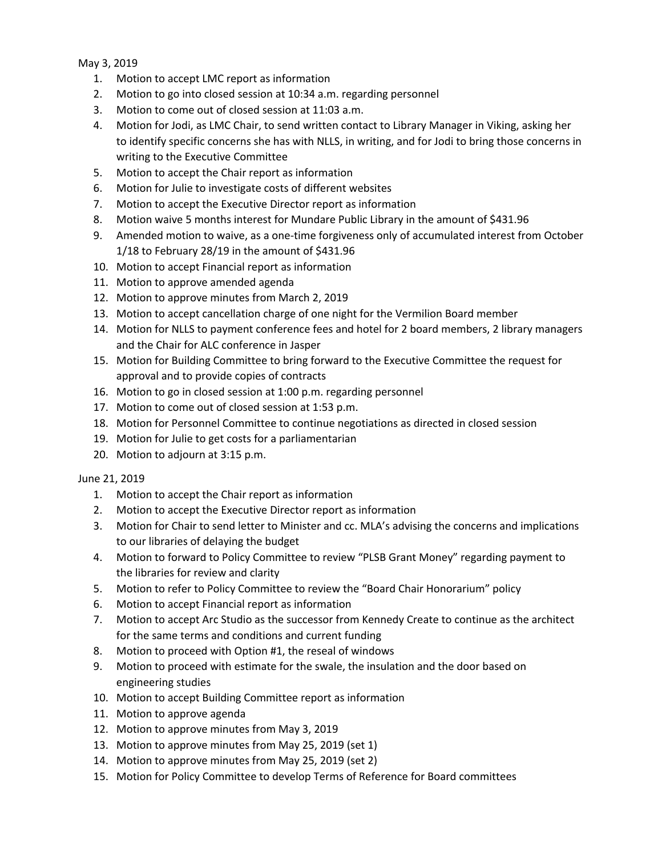May 3, 2019

- 1. Motion to accept LMC report as information
- 2. Motion to go into closed session at 10:34 a.m. regarding personnel
- 3. Motion to come out of closed session at 11:03 a.m.
- 4. Motion for Jodi, as LMC Chair, to send written contact to Library Manager in Viking, asking her to identify specific concerns she has with NLLS, in writing, and for Jodi to bring those concerns in writing to the Executive Committee
- 5. Motion to accept the Chair report as information
- 6. Motion for Julie to investigate costs of different websites
- 7. Motion to accept the Executive Director report as information
- 8. Motion waive 5 months interest for Mundare Public Library in the amount of \$431.96
- 9. Amended motion to waive, as a one-time forgiveness only of accumulated interest from October 1/18 to February 28/19 in the amount of \$431.96
- 10. Motion to accept Financial report as information
- 11. Motion to approve amended agenda
- 12. Motion to approve minutes from March 2, 2019
- 13. Motion to accept cancellation charge of one night for the Vermilion Board member
- 14. Motion for NLLS to payment conference fees and hotel for 2 board members, 2 library managers and the Chair for ALC conference in Jasper
- 15. Motion for Building Committee to bring forward to the Executive Committee the request for approval and to provide copies of contracts
- 16. Motion to go in closed session at 1:00 p.m. regarding personnel
- 17. Motion to come out of closed session at 1:53 p.m.
- 18. Motion for Personnel Committee to continue negotiations as directed in closed session
- 19. Motion for Julie to get costs for a parliamentarian
- 20. Motion to adjourn at 3:15 p.m.

### June 21, 2019

- 1. Motion to accept the Chair report as information
- 2. Motion to accept the Executive Director report as information
- 3. Motion for Chair to send letter to Minister and cc. MLA's advising the concerns and implications to our libraries of delaying the budget
- 4. Motion to forward to Policy Committee to review "PLSB Grant Money" regarding payment to the libraries for review and clarity
- 5. Motion to refer to Policy Committee to review the "Board Chair Honorarium" policy
- 6. Motion to accept Financial report as information
- 7. Motion to accept Arc Studio as the successor from Kennedy Create to continue as the architect for the same terms and conditions and current funding
- 8. Motion to proceed with Option #1, the reseal of windows
- 9. Motion to proceed with estimate for the swale, the insulation and the door based on engineering studies
- 10. Motion to accept Building Committee report as information
- 11. Motion to approve agenda
- 12. Motion to approve minutes from May 3, 2019
- 13. Motion to approve minutes from May 25, 2019 (set 1)
- 14. Motion to approve minutes from May 25, 2019 (set 2)
- 15. Motion for Policy Committee to develop Terms of Reference for Board committees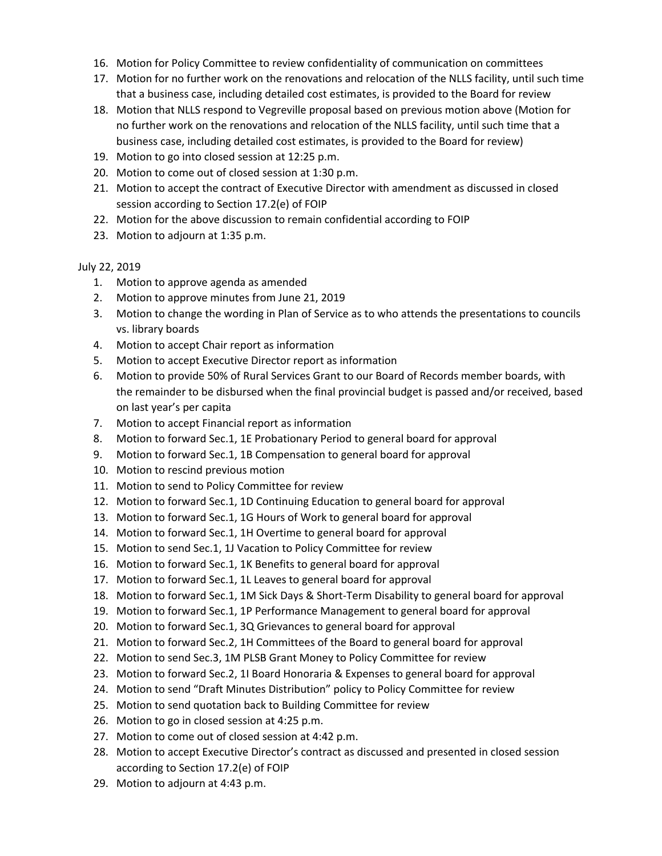- 16. Motion for Policy Committee to review confidentiality of communication on committees
- 17. Motion for no further work on the renovations and relocation of the NLLS facility, until such time that a business case, including detailed cost estimates, is provided to the Board for review
- 18. Motion that NLLS respond to Vegreville proposal based on previous motion above (Motion for no further work on the renovations and relocation of the NLLS facility, until such time that a business case, including detailed cost estimates, is provided to the Board for review)
- 19. Motion to go into closed session at 12:25 p.m.
- 20. Motion to come out of closed session at 1:30 p.m.
- 21. Motion to accept the contract of Executive Director with amendment as discussed in closed session according to Section 17.2(e) of FOIP
- 22. Motion for the above discussion to remain confidential according to FOIP
- 23. Motion to adjourn at 1:35 p.m.

# July 22, 2019

- 1. Motion to approve agenda as amended
- 2. Motion to approve minutes from June 21, 2019
- 3. Motion to change the wording in Plan of Service as to who attends the presentations to councils vs. library boards
- 4. Motion to accept Chair report as information
- 5. Motion to accept Executive Director report as information
- 6. Motion to provide 50% of Rural Services Grant to our Board of Records member boards, with the remainder to be disbursed when the final provincial budget is passed and/or received, based on last year's per capita
- 7. Motion to accept Financial report as information
- 8. Motion to forward Sec.1, 1E Probationary Period to general board for approval
- 9. Motion to forward Sec.1, 1B Compensation to general board for approval
- 10. Motion to rescind previous motion
- 11. Motion to send to Policy Committee for review
- 12. Motion to forward Sec.1, 1D Continuing Education to general board for approval
- 13. Motion to forward Sec.1, 1G Hours of Work to general board for approval
- 14. Motion to forward Sec.1, 1H Overtime to general board for approval
- 15. Motion to send Sec.1, 1J Vacation to Policy Committee for review
- 16. Motion to forward Sec.1, 1K Benefits to general board for approval
- 17. Motion to forward Sec.1, 1L Leaves to general board for approval
- 18. Motion to forward Sec.1, 1M Sick Days & Short-Term Disability to general board for approval
- 19. Motion to forward Sec.1, 1P Performance Management to general board for approval
- 20. Motion to forward Sec.1, 3Q Grievances to general board for approval
- 21. Motion to forward Sec.2, 1H Committees of the Board to general board for approval
- 22. Motion to send Sec.3, 1M PLSB Grant Money to Policy Committee for review
- 23. Motion to forward Sec.2, 1I Board Honoraria & Expenses to general board for approval
- 24. Motion to send "Draft Minutes Distribution" policy to Policy Committee for review
- 25. Motion to send quotation back to Building Committee for review
- 26. Motion to go in closed session at 4:25 p.m.
- 27. Motion to come out of closed session at 4:42 p.m.
- 28. Motion to accept Executive Director's contract as discussed and presented in closed session according to Section 17.2(e) of FOIP
- 29. Motion to adjourn at 4:43 p.m.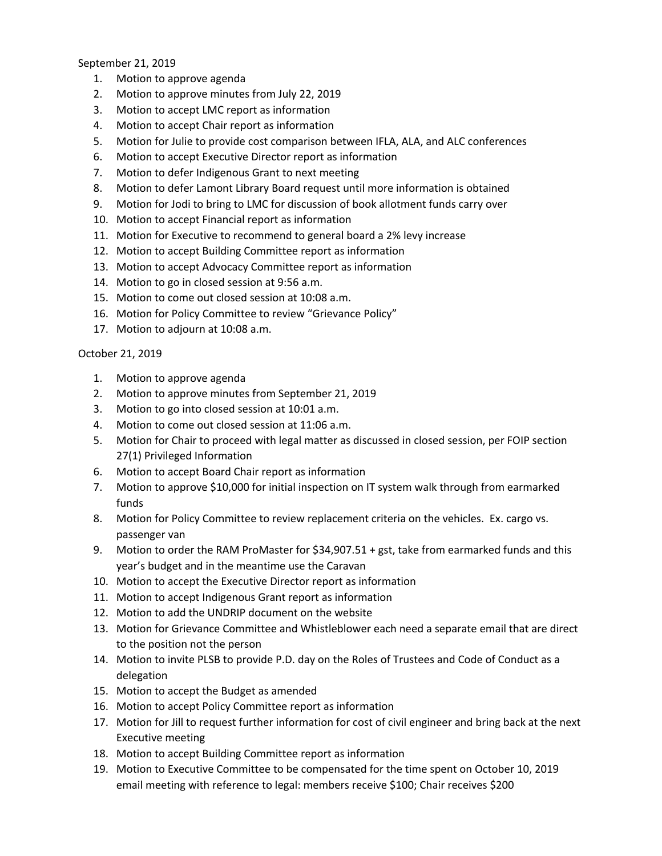September 21, 2019

- 1. Motion to approve agenda
- 2. Motion to approve minutes from July 22, 2019
- 3. Motion to accept LMC report as information
- 4. Motion to accept Chair report as information
- 5. Motion for Julie to provide cost comparison between IFLA, ALA, and ALC conferences
- 6. Motion to accept Executive Director report as information
- 7. Motion to defer Indigenous Grant to next meeting
- 8. Motion to defer Lamont Library Board request until more information is obtained
- 9. Motion for Jodi to bring to LMC for discussion of book allotment funds carry over
- 10. Motion to accept Financial report as information
- 11. Motion for Executive to recommend to general board a 2% levy increase
- 12. Motion to accept Building Committee report as information
- 13. Motion to accept Advocacy Committee report as information
- 14. Motion to go in closed session at 9:56 a.m.
- 15. Motion to come out closed session at 10:08 a.m.
- 16. Motion for Policy Committee to review "Grievance Policy"
- 17. Motion to adjourn at 10:08 a.m.

### October 21, 2019

- 1. Motion to approve agenda
- 2. Motion to approve minutes from September 21, 2019
- 3. Motion to go into closed session at 10:01 a.m.
- 4. Motion to come out closed session at 11:06 a.m.
- 5. Motion for Chair to proceed with legal matter as discussed in closed session, per FOIP section 27(1) Privileged Information
- 6. Motion to accept Board Chair report as information
- 7. Motion to approve \$10,000 for initial inspection on IT system walk through from earmarked funds
- 8. Motion for Policy Committee to review replacement criteria on the vehicles. Ex. cargo vs. passenger van
- 9. Motion to order the RAM ProMaster for \$34,907.51 + gst, take from earmarked funds and this year's budget and in the meantime use the Caravan
- 10. Motion to accept the Executive Director report as information
- 11. Motion to accept Indigenous Grant report as information
- 12. Motion to add the UNDRIP document on the website
- 13. Motion for Grievance Committee and Whistleblower each need a separate email that are direct to the position not the person
- 14. Motion to invite PLSB to provide P.D. day on the Roles of Trustees and Code of Conduct as a delegation
- 15. Motion to accept the Budget as amended
- 16. Motion to accept Policy Committee report as information
- 17. Motion for Jill to request further information for cost of civil engineer and bring back at the next Executive meeting
- 18. Motion to accept Building Committee report as information
- 19. Motion to Executive Committee to be compensated for the time spent on October 10, 2019 email meeting with reference to legal: members receive \$100; Chair receives \$200